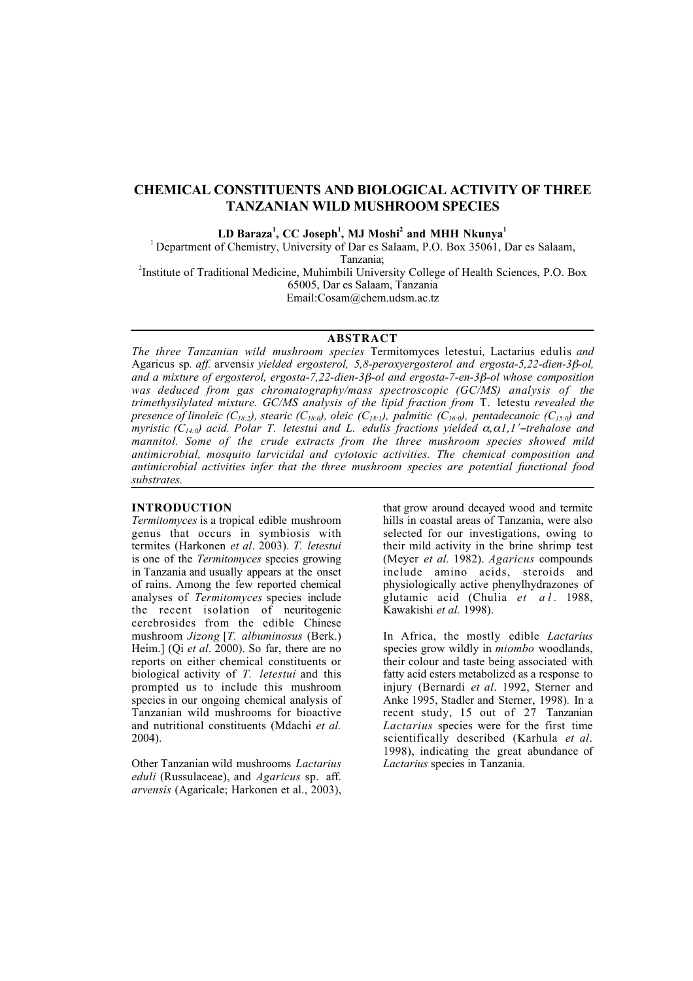# CHEMICAL CONSTITUENTS AND BIOLOGICAL ACTIVITY OF THREE TANZANIAN WILD MUSHROOM SPECIES

 $LD$  Baraza $^1$ , CC Joseph $^1$ , MJ Moshi $^2$  and MHH Nkunya $^1$ 

<sup>1</sup> Department of Chemistry, University of Dar es Salaam, P.O. Box 35061, Dar es Salaam,

Tanzania;<br><sup>2</sup>Institute of Traditional Medicine, Muhimbili University College of Health Sciences, P.O. Box<sup>2</sup> 65005, Dar es Salaam, Tanzania Email:Cosam@chem.udsm.ac.tz

# **ABSTRACT**

*The three Tanzanian wild mushroom species* Termitomyces letestui*,* Lactarius edulis *and* Agaricus sp*. aff.* arvensi*s yielded ergosterol, 5,8-peroxyergosterol and ergosta-5,22-dien-3*!*-ol, and a mixture of ergosterol, ergosta-7,22-dien-3*!*-ol and ergosta-7-en-3*!*-ol whose composition was deduced from gas chromatography/mass spectroscopic (GC/MS) analysis of the trimethysilylated mixture. GC/MS analysis of the lipid fraction from* T. letestu *revealed the presence of linoleic (C<sub>18:2</sub>), stearic (C<sub>18:0</sub>), oleic (C<sub>18:1</sub>), palmitic (C<sub>16:0</sub>), pentadecanoic (C<sub>15:0</sub>) and myristic (C<sub>14:0</sub>) acid. Polar T. letestui and L. edulis fractions yielded*  $\alpha$ *,*  $\alpha$ *1, 1'-trehalose and mannitol. Some of the crude extracts from the three mushroom species showed mild antimicrobial, mosquito larvicidal and cytotoxic activities. The chemical composition and antimicrobial activities infer that the three mushroom species are potential functional food substrates.*

# **INTRODUCTION**

*Termitomyces* is a tropical edible mushroom genus that occurs in symbiosis with termites (Harkonen *et al*. 2003). *T. letestui* is one of the *Termitomyces* species growing in Tanzania and usually appears at the onset of rains. Among the few reported chemical analyses of *Termitomyces* species include the recent isolation of neuritogenic cerebrosides from the edible Chinese mushroom *Jizong* [*T. albuminosus* (Berk.) Heim.] (Qi *et al*. 2000). So far, there are no reports on either chemical constituents or biological activity of *T. letestui* and this prompted us to include this mushroom species in our ongoing chemical analysis of Tanzanian wild mushrooms for bioactive and nutritional constituents (Mdachi *et al.* 2004).

Other Tanzanian wild mushrooms *Lactarius eduli* (Russulaceae), and *Agaricus* sp. aff. *arvensis* (Agaricale; Harkonen et al., 2003), that grow around decayed wood and termite hills in coastal areas of Tanzania, were also selected for our investigations, owing to their mild activity in the brine shrimp test (Meyer *et al.* 1982). *Agaricus* compounds include amino acids, steroids and physiologically active phenylhydrazones of glutamic acid (Chulia *et al.* 1988, Kawakishi *et al.* 1998).

In Africa, the mostly edible *Lactarius* species grow wildly in *miombo* woodlands, their colour and taste being associated with fatty acid esters metabolized as a response to injury (Bernardi *et al*. 1992, Sterner and Anke 1995, Stadler and Sterner, 1998)*.* In a recent study, 15 out of 27 Tanzanian *Lactarius* species were for the first time scientifically described (Karhula *et al*. 1998), indicating the great abundance of *Lactarius* species in Tanzania.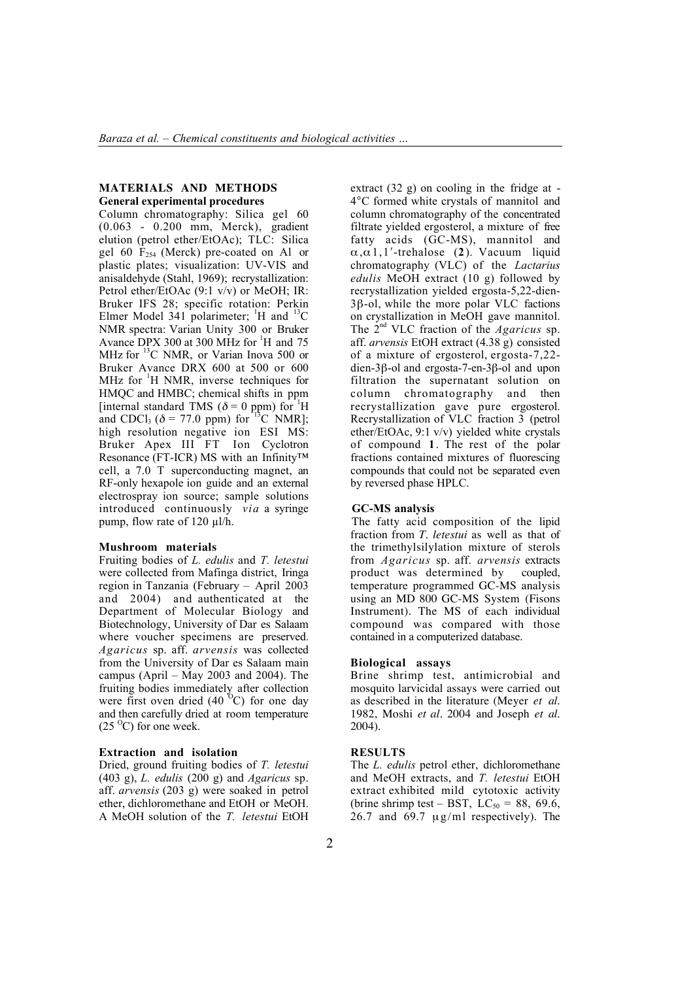# **MATERIALS AND METHODS** General experimental procedures

Column chromatography: Silica gel 60 (0.063 - 0.200 mm, Merck), gradient elution (petrol ether/EtOAc); TLC: Silica gel 60  $F<sub>254</sub>$  (Merck) pre-coated on Al or plastic plates; visualization: UV-VIS and anisaldehyde (Stahl, 1969); recrystallization: Petrol ether/EtOAc (9:1 v/v) or MeOH: IR: Bruker IFS 28; specific rotation: Perkin Elmer Model  $341$  polarimeter; <sup>1</sup>H and <sup>13</sup>C NMR spectra: Varian Unity 300 or Bruker Avance DPX 300 at 300 MHz for <sup>1</sup>H and 75 MHz for  $^{13}$ C NMR, or Varian Inova 500 or Bruker Avance DRX 600 at 500 or 600 MHz for  ${}^{1}$ H NMR, inverse techniques for HMQC and HMBC; chemical shifts in ppm [internal standard TMS ( $\delta = 0$  ppm) for <sup>1</sup>H and CDCl<sub>3</sub> ( $\delta$  = 77.0 ppm) for <sup>13</sup>C NMR]; high resolution negative ion ESI MS: Bruker Apex III FT Ion Cyclotron Resonance (FT-ICR) MS with an Infinity™ cell, a 7.0 T superconducting magnet, an RF-only hexapole ion guide and an external electrospray ion source; sample solutions introduced continuously *via* a syringe pump, flow rate of  $120 \mu l/h$ .

# **Mushroom materials**

Fruiting bodies of *L. edulis* and *T. letestui* were collected from Mafinga district, Iringa region in Tanzania (February – April 2003 and 2004) and authenticated at the Department of Molecular Biology and Biotechnology, University of Dar es Salaam where voucher specimens are preserved. *Agaricus* sp. aff. *arvensis* was collected from the University of Dar es Salaam main campus (April – May 2003 and 2004). The fruiting bodies immediately after collection were first oven dried  $(40^{\degree}C)$  for one day and then carefully dried at room temperature  $(25<sup>o</sup>C)$  for one week.

### **Extraction and isolation**

Dried, ground fruiting bodies of *T. letestui* (403 g), *L. edulis* (200 g) and *Agaricus* sp. aff. *arvensis* (203 g) were soaked in petrol ether, dichloromethane and EtOH or MeOH. A MeOH solution of the *T. letestui* EtOH

extract (32 g) on cooling in the fridge at - 4°C formed white crystals of mannitol and column chromatography of the concentrated filtrate yielded ergosterol, a mixture of free fatty acids (GC-MS), mannitol and  $\alpha, \alpha$ 1,1'-trehalose (2). Vacuum liquid chromatography (VLC) of the *Lactarius edulis* MeOH extract (10 g) followed by recrystallization yielded ergosta-5,22-dien- $3\beta$ -ol, while the more polar VLC factions on crystallization in MeOH gave mannitol. The 2nd VLC fraction of the *Agaricus* sp. aff. *arvensis* EtOH extract (4.38 g) consisted of a mixture of ergosterol, ergosta-7,22  $dien-3\beta$ -ol and ergosta-7-en-3 $\beta$ -ol and upon filtration the supernatant solution on column chromatography and then recrystallization gave pure ergosterol. Recrystallization of VLC fraction 3 (petrol ether/EtOAc, 9:1 v/v) yielded white crystals of compound 1. The rest of the polar fractions contained mixtures of fluorescing compounds that could not be separated even by reversed phase HPLC.

#### GC-MS analysis

The fatty acid composition of the lipid fraction from *T. letestui* as well as that of the trimethylsilylation mixture of sterols from *Agaricus* sp. aff. *arvensis* extracts product was determined by coupled, temperature programmed GC-MS analysis using an MD 800 GC-MS System (Fisons Instrument). The MS of each individual compound was compared with those contained in a computerized database.

#### **Biological assays**

Brine shrimp test, antimicrobial and mosquito larvicidal assays were carried out as described in the literature (Meyer *et al.* 1982, Moshi *et al.* 2004 and Joseph *et al.* 2004).

### RESULTS

The *L. edulis* petrol ether, dichloromethane and MeOH extracts, and *T. letestui* EtOH extract exhibited mild cytotoxic activity (brine shrimp test – BST,  $LC_{50} = 88, 69.6,$ 26.7 and 69.7  $\mu$ g/ml respectively). The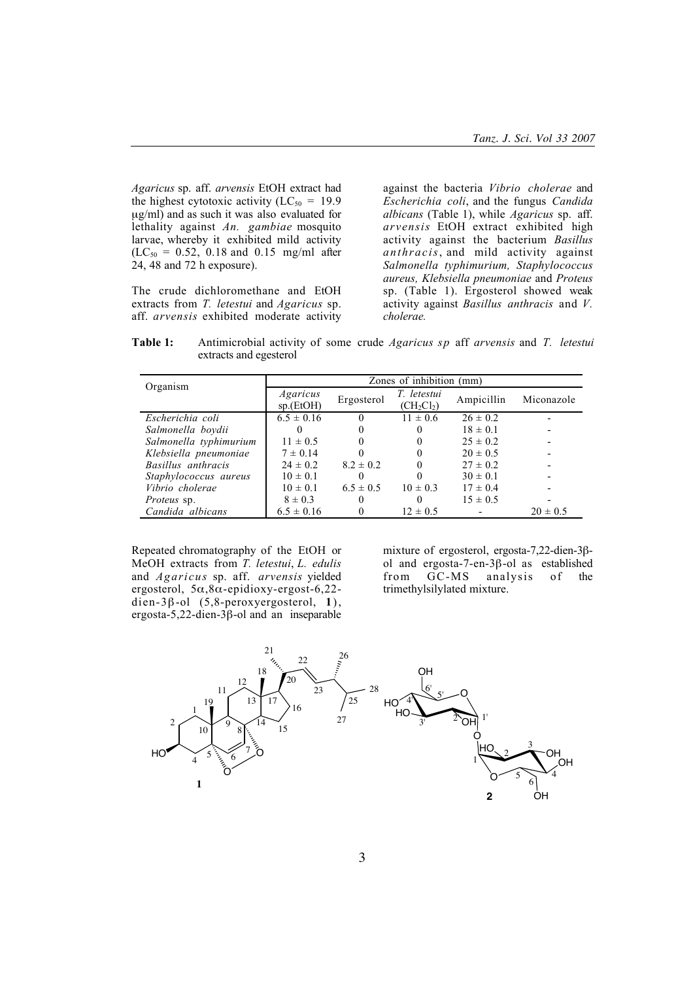*Agaricus* sp. aff. *arvensis* EtOH extract had the highest cytotoxic activity ( $LC_{50} = 19.9$ µg/ml) and as such it was also evaluated for lethality against *An. gambiae* mosquito larvae, whereby it exhibited mild activity  $(LC_{50} = 0.52, 0.18$  and 0.15 mg/ml after 24, 48 and 72 h exposure).

The crude dichloromethane and EtOH extracts from *T. letestui* and *Agaricus* sp. aff. *arvensis* exhibited moderate activity

against the bacteria *Vibrio cholerae* and *Escherichia coli*, and the fungus *Candida albicans* (Table 1), while *Agaricus* sp. aff. *arvensis* EtOH extract exhibited high activity against the bacterium *Basillus anthracis*, and mild activity against *Salmonella typhimurium, Staphylococcus aureus, Klebsiella pneumoniae* and *Proteus* sp. (Table 1). Ergosterol showed weak activity against *Basillus anthracis* and *V. cholerae.*

Table 1: Antimicrobial activity of some crude *Agaricus sp* aff *arvensis* and *T. letestui* extracts and egesterol

| Organism               | Zones of inhibition (mm) |               |                             |              |              |
|------------------------|--------------------------|---------------|-----------------------------|--------------|--------------|
|                        | Agaricus<br>sp.(EtOH)    | Ergosterol    | T. letestui<br>$(CH_2Cl_2)$ | Ampicillin   | Miconazole   |
| Escherichia coli       | $6.5 \pm 0.16$           | $\Omega$      | $11 \pm 0.6$                | $26 \pm 0.2$ |              |
| Salmonella boydii      |                          |               |                             | $18 \pm 0.1$ |              |
| Salmonella typhimurium | $11 \pm 0.5$             |               |                             | $25 \pm 0.2$ |              |
| Klebsiella pneumoniae  | $7 \pm 0.14$             |               |                             | $20 \pm 0.5$ |              |
| Basillus anthracis     | $24 \pm 0.2$             | $8.2 \pm 0.2$ |                             | $27 \pm 0.2$ |              |
| Staphylococcus aureus  | $10 \pm 0.1$             | $\theta$      |                             | $30 \pm 0.1$ |              |
| Vibrio cholerae        | $10 \pm 0.1$             | $6.5 \pm 0.5$ | $10 \pm 0.3$                | $17 \pm 0.4$ |              |
| <i>Proteus</i> sp.     | $8 \pm 0.3$              |               |                             | $15 \pm 0.5$ |              |
| Candida albicans       | $6.5 \pm 0.16$           |               | $12 \pm 0.5$                |              | $20 \pm 0.5$ |

Repeated chromatography of the EtOH or MeOH extracts from *T. letestui*, *L. edulis* and *Agaricus* sp. aff. *arvensis* yielded ergosterol,  $5\alpha, 8\alpha$ -epidioxy-ergost-6,22dien-3 $\beta$ -ol (5,8-peroxyergosterol, 1), ergosta-5,22-dien-3 $\beta$ -ol and an inseparable

mixture of ergosterol, ergosta-7,22-dien-3 $\beta$ ol and ergosta-7-en-3 $\beta$ -ol as established<br>from GC-MS analysis of the  $\overline{GC}$ -MS trimethylsilylated mixture.

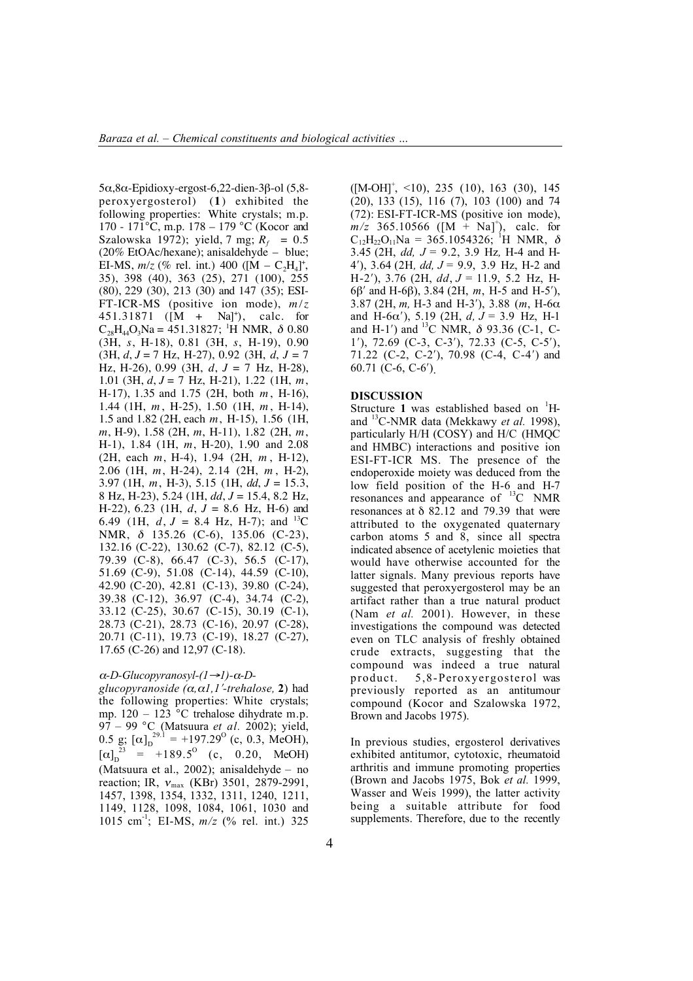$5\alpha, 8\alpha$ -Epidioxy-ergost-6,22-dien-3 $\beta$ -ol (5,8peroxyergosterol) (**1** ) exhibited the following properties: White crystals; m.p. 170 - 171°C, m.p. 178 – 179 °C (Kocor and Szalowska 1972); yield, 7 mg;  $R_f = 0.5$ (20% EtOAc/hexane); anisaldehyde – blue; EI-MS,  $m/z$  (% rel. int.) 400 ([M – C<sub>2</sub>H<sub>4</sub>]<sup>+</sup>, 35), 398 (40), 363 (25), 271 (100), 255 (80), 229 (30), 213 (30) and 147 (35); ESI-FT-ICR-MS (positive ion mode), *m/z* 451.31871 ([M + Na]+ ), calc. for  $C_{28}H_{44}O_3$ Na = 451.31827; <sup>1</sup>H NMR,  $\delta$  0.80 (3H, *s*, H-18), 0.81 (3H, *s*, H-19), 0.90 (3H, *d*, *J* = 7 Hz, H-27), 0.92 (3H, *d*, *J* = 7 Hz, H-26), 0.99 (3H, *d*, *J* = 7 Hz, H-28), 1.01 (3H, *d*, *J* = 7 Hz, H-21), 1.22 (1H, *m*, H-17), 1.35 and 1.75 (2H, both *m* , H-16), 1.44 (1H, *m* , H-25), 1.50 (1H, *m* , H-14), 1.5 and 1.82 (2H, each *m*, H-15), 1.56 (1H, *m*, H-9), 1.58 (2H, *m*, H-11), 1.82 (2H, *m*, H-1), 1.84 (1H, *m*, H-20), 1.90 and 2.08 (2H, each *m*, H-4), 1.94 (2H, *m* , H-12), 2.06 (1H, *m*, H-24), 2.14 (2H, *m* , H-2), 3.97 (1H, *m*, H-3), 5.15 (1H, *dd*, *J* = 15.3, 8 Hz, H-23), 5.24 (1H, *dd*, *J* = 15.4, 8.2 Hz, H-22), 6.23 (1H, *d*, *J* = 8.6 Hz, H-6) and 6.49 (1H,  $d, J = 8.4$  Hz, H-7); and <sup>13</sup>C NMR, % 135.26 (C-6), 135.06 (C-23), 132.16 (C-22), 130.62 (C-7), 82.12 (C-5), 79.39 (C-8), 66.47 (C-3), 56.5 (C-17), 51.69 (C-9), 51.08 (C-14), 44.59 (C-10), 42.90 (C-20), 42.81 (C-13), 39.80 (C-24), 39.38 (C-12), 36.97 (C-4), 34.74 (C-2), 33.12 (C-25), 30.67 (C-15), 30.19 (C-1), 28.73 (C-21), 28.73 (C-16), 20.97 (C-28), 20.71 (C-11), 19.73 (C-19), 18.27 (C-27), 17.65 (C-26) and 12,97 (C-18).

# $α$ *-D*-*Glucopyranosyl-*(1→1)- $α$ *-D*-

*glucopyranoside*  $(\alpha, \alpha I, I'$ -trehalose, 2) had the following properties: White crystals; mp. 120 – 123 °C trehalose dihydrate m.p. 97 – 99 °C (Matsuura *et al.* 2002); yield, 0.5 g;  $[\alpha]_D^{29.1}$  = +197.29<sup>o</sup> (c, 0.3, MeOH),  $[\alpha]_D^{23} = +189.5^{\circ}$  (c, 0.20, MeOH) (Matsuura et al., 2002); anisaldehyde – no reaction; IR,  $v_{\text{max}}$  (KBr) 3501, 2879-2991, 1457, 1398, 1354, 1332, 1311, 1240, 1211, 1149, 1128, 1098, 1084, 1061, 1030 and 1015 cm-1; EI-MS, *m/z* (% rel. int.) 325

 $([M-OH]^\dagger, \le 10)$ , 235 (10), 163 (30), 145 (20), 133 (15), 116 (7), 103 (100) and 74 (72): ESI-FT-ICR-MS (positive ion mode),  $m/z$  365.10566 ([M + Na]<sup>+</sup>), calc. for  $C_{12}H_{22}O_{11}Na = 365.1054326$ ; <sup>1</sup>H NMR,  $\delta$ 3.45 (2H, *dd, J* = 9.2, 3.9 Hz*,* H-4 and H-4#), 3.64 (2H*, dd, J* = 9.9, 3.9 Hz, H-2 and H-2#), 3.76 (2H, *dd*, *J* = 11.9, 5.2 Hz, H-6 $\beta'$  and H-6 $\beta$ ), 3.84 (2H, *m*, H-5 and H-5'), 3.87 (2H,  $m$ , H-3 and H-3'), 3.88 ( $m$ , H-6 $\alpha$ and H-6 $\alpha'$ ), 5.19 (2H, *d, J* = 3.9 Hz, H-1 and H-1') and  $^{13}$ C NMR,  $\delta$  93.36 (C-1, C- $1'$ ), 72.69 (C-3, C-3'), 72.33 (C-5, C-5'), 71.22 (C-2, C-2'), 70.98 (C-4, C-4') and 60.71 (C-6, C-6').

# DISCUSSION

Structure 1 was established based on  $H$ and 13C-NMR data (Mekkawy *et al.* 1998), particularly H/H (COSY) and H/C (HMQC and HMBC) interactions and positive ion ESI-FT-ICR MS. The presence of the endoperoxide moiety was deduced from the low field position of the H-6 and H-7 resonances and appearance of  $^{13}C$  NMR resonances at  $\delta$  82.12 and 79.39 that were attributed to the oxygenated quaternary carbon atoms 5 and 8, since all spectra indicated absence of acetylenic moieties that would have otherwise accounted for the latter signals. Many previous reports have suggested that peroxyergosterol may be an artifact rather than a true natural product (Nam *et al.* 2001). However, in these investigations the compound was detected even on TLC analysis of freshly obtained crude extracts, suggesting that the compound was indeed a true natural product. 5,8-Peroxyergosterol was previously reported as an antitumour compound (Kocor and Szalowska 1972, Brown and Jacobs 1975).

In previous studies, ergosterol derivatives exhibited antitumor, cytotoxic, rheumatoid arthritis and immune promoting properties (Brown and Jacobs 1975, Bok *et al.* 1999, Wasser and Weis 1999), the latter activity being a suitable attribute for food supplements. Therefore, due to the recently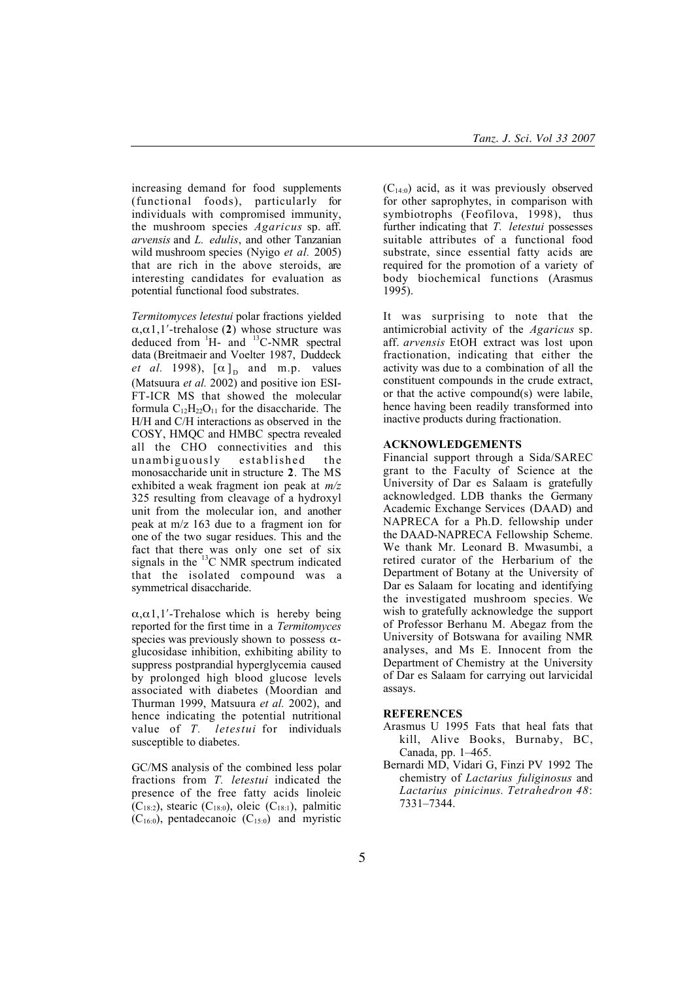increasing demand for food supplements (functional foods), particularly for individuals with compromised immunity, the mushroom species *Agaricus* sp. aff. *arvensis* and *L. edulis*, and other Tanzanian wild mushroom species (Nyigo *et al.* 2005) that are rich in the above steroids, are interesting candidates for evaluation as potential functional food substrates.

*Termitomyces letestui* polar fractions yielded  $\alpha$ , $\alpha$ 1,1'-trehalose (2) whose structure was deduced from  ${}^{1}H-$  and  ${}^{13}C- NMR$  spectral data (Breitmaeir and Voelter 1987, Duddeck *et al.* 1998),  $[\alpha]_D$  and m.p. values (Matsuura *et al.* 2002) and positive ion ESI-FT-ICR MS that showed the molecular formula  $C_{12}H_{22}O_{11}$  for the disaccharide. The H/H and C/H interactions as observed in the COSY, HMQC and HMBC spectra revealed all the CHO connectivities and this unambiguously established the monosaccharide unit in structure 2. The MS exhibited a weak fragment ion peak at *m/z* 325 resulting from cleavage of a hydroxyl unit from the molecular ion, and another peak at m/z 163 due to a fragment ion for one of the two sugar residues. This and the fact that there was only one set of six signals in the  $^{13}$ C NMR spectrum indicated that the isolated compound was a symmetrical disaccharide.

 $\alpha$ , $\alpha$ 1,1'-Trehalose which is hereby being reported for the first time in a *Termitomyces* species was previously shown to possess  $\alpha$ glucosidase inhibition, exhibiting ability to suppress postprandial hyperglycemia caused by prolonged high blood glucose levels associated with diabetes (Moordian and Thurman 1999, Matsuura *et al.* 2002), and hence indicating the potential nutritional value of *T. letestui* for individuals susceptible to diabetes.

GC/MS analysis of the combined less polar fractions from *T. letestui* indicated the presence of the free fatty acids linoleic  $(C_{18:2})$ , stearic  $(C_{18:0})$ , oleic  $(C_{18:1})$ , palmitic  $(C_{16:0})$ , pentadecanoic  $(C_{15:0})$  and myristic

 $(C_{14:0})$  acid, as it was previously observed for other saprophytes, in comparison with symbiotrophs (Feofilova, 1998), thus further indicating that *T. letestui* possesses suitable attributes of a functional food substrate, since essential fatty acids are required for the promotion of a variety of body biochemical functions (Arasmus 1995).

It was surprising to note that the antimicrobial activity of the *Agaricus* sp. aff. *arvensis* EtOH extract was lost upon fractionation, indicating that either the activity was due to a combination of all the constituent compounds in the crude extract, or that the active compound(s) were labile, hence having been readily transformed into inactive products during fractionation.

# ACKNOWLEDGEMENTS

Financial support through a Sida/SAREC grant to the Faculty of Science at the University of Dar es Salaam is gratefully acknowledged. LDB thanks the Germany Academic Exchange Services (DAAD) and NAPRECA for a Ph.D. fellowship under the DAAD-NAPRECA Fellowship Scheme. We thank Mr. Leonard B. Mwasumbi, a retired curator of the Herbarium of the Department of Botany at the University of Dar es Salaam for locating and identifying the investigated mushroom species. We wish to gratefully acknowledge the support of Professor Berhanu M. Abegaz from the University of Botswana for availing NMR analyses, and Ms E. Innocent from the Department of Chemistry at the University of Dar es Salaam for carrying out larvicidal assays.

#### **REFERENCES**

- Arasmus U 1995 Fats that heal fats that kill, Alive Books, Burnaby, BC, Canada, pp. 1–465.
- Bernardi MD, Vidari G, Finzi PV 1992 The chemistry of *Lactarius fuliginosus* and *Lactarius pinicinus. Tetrahedron 48*: 7331–7344.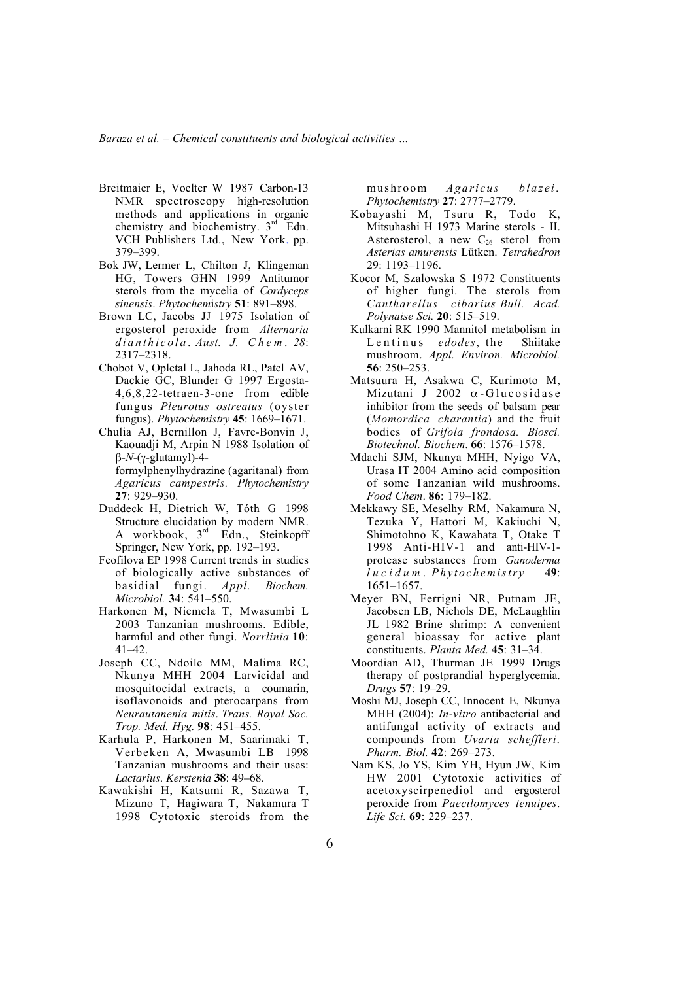- Breitmaier E, Voelter W 1987 Carbon-13 NMR spectroscopy high-resolution methods and applications in organic chemistry and biochemistry. 3<sup>rd</sup> Edn. VCH Publishers Ltd., New York. pp. 379–399.
- Bok JW, Lermer L, Chilton J, Klingeman HG, Towers GHN 1999 Antitumor sterols from the mycelia of *Cordyceps sinensis*. *Phytochem*i*stry* 51: 891–898.
- Brown LC, Jacobs JJ 1975 Isolation of ergosterol peroxide from *Alternaria dianthicola* . *Aust. J. Chem* . *28*: 2317–2318.
- Chobot V, Opletal L, Jahoda RL, Patel AV, Dackie GC, Blunder G 1997 Ergosta-4,6,8,22-tetraen-3-one from edible fungus *Pleurotus ostreatus* (oyster fungus). *Phytochemistry* 45: 1669–1671.
- Chulia AJ, Bernillon J, Favre-Bonvin J, Kaouadji M, Arpin N 1988 Isolation of  $\beta$ -*N*-( $\gamma$ -glutamyl)-4formylphenylhydrazine (agaritanal) from *Agaricus campestris. Phytochemistry* 27: 929–930.
- Duddeck H, Dietrich W, Tóth G 1998 Structure elucidation by modern NMR. A workbook,  $3<sup>rd</sup>$  Edn., Steinkopff Springer, New York, pp. 192–193.
- Feofilova EP 1998 Current trends in studies of biologically active substances of basidial fungi. *Appl. Biochem. Microbiol.* 34: 541–550.
- Harkonen M, Niemela T, Mwasumbi L 2003 Tanzanian mushrooms. Edible, harmful and other fungi. *Norrlinia* 10: 41–42.
- Joseph CC, Ndoile MM, Malima RC, Nkunya MHH 2004 Larvicidal and mosquitocidal extracts, a coumarin, isoflavonoids and pterocarpans from *Neurautanenia mitis*. *Trans. Royal Soc. Trop. Med. Hyg.* 98: 451–455.
- Karhula P, Harkonen M, Saarimaki T, Verbeken A, Mwasumbi LB 1998 Tanzanian mushrooms and their uses: *Lactarius*. *Kerstenia* **38**: 49–68.
- Kawakishi H, Katsumi R, Sazawa T, Mizuno T, Hagiwara T, Nakamura T 1998 Cytotoxic steroids from the

mushroom *Agaricus blazei*. *Phytochemistry* 27: 2777–2779.

- Kobayashi M, Tsuru R, Todo K, Mitsuhashi H 1973 Marine sterols - II. Asterosterol, a new  $C_{26}$  sterol from *Asterias amurensis* Lütken. *Tetrahedron* 29: 1193–1196.
- Kocor M, Szalowska S 1972 Constituents of higher fungi. The sterols from *Cantharellus cibarius Bull. Acad. Polynaise Sci.* 20: 515–519.
- Kulkarni RK 1990 Mannitol metabolism in Lentinus *edodes*, the Shiitake mushroom. *Appl. Environ. Microbiol.* 56: 250–253.
- Matsuura H, Asakwa C, Kurimoto M, Mizutani J 2002  $\alpha$ -Glucosidase inhibitor from the seeds of balsam pear (*Momordica charantia*) and the fruit bodies of *Grifola frondosa. Biosci. Biotechnol. Biochem*. 66: 1576–1578.
- Mdachi SJM, Nkunya MHH, Nyigo VA, Urasa IT 2004 Amino acid composition of some Tanzanian wild mushrooms. *Food Chem*. 86: 179–182.
- Mekkawy SE, Meselhy RM, Nakamura N, Tezuka Y, Hattori M, Kakiuchi N, Shimotohno K, Kawahata T, Otake T 1998 Anti-HIV-1 and anti-HIV-1 protease substances from *Ganoderma lucidum* . *Phytochemistry* 49: 1651–1657.
- Meyer BN, Ferrigni NR, Putnam JE, Jacobsen LB, Nichols DE, McLaughlin JL 1982 Brine shrimp: A convenient general bioassay for active plant constituents. *Planta Med.* 45: 31–34.
- Moordian AD, Thurman JE 1999 Drugs therapy of postprandial hyperglycemia. *Drugs* 57: 19–29.
- Moshi MJ, Joseph CC, Innocent E, Nkunya MHH (2004): *In-vitro* antibacterial and antifungal activity of extracts and compounds from *Uvaria scheffleri*. *Pharm. Biol.* 42: 269–273.
- Nam KS, Jo YS, Kim YH, Hyun JW, Kim HW 2001 Cytotoxic activities of acetoxyscirpenediol and ergosterol peroxide from *Paecilomyces tenuipes*. *Life Sci.* 69: 229–237.